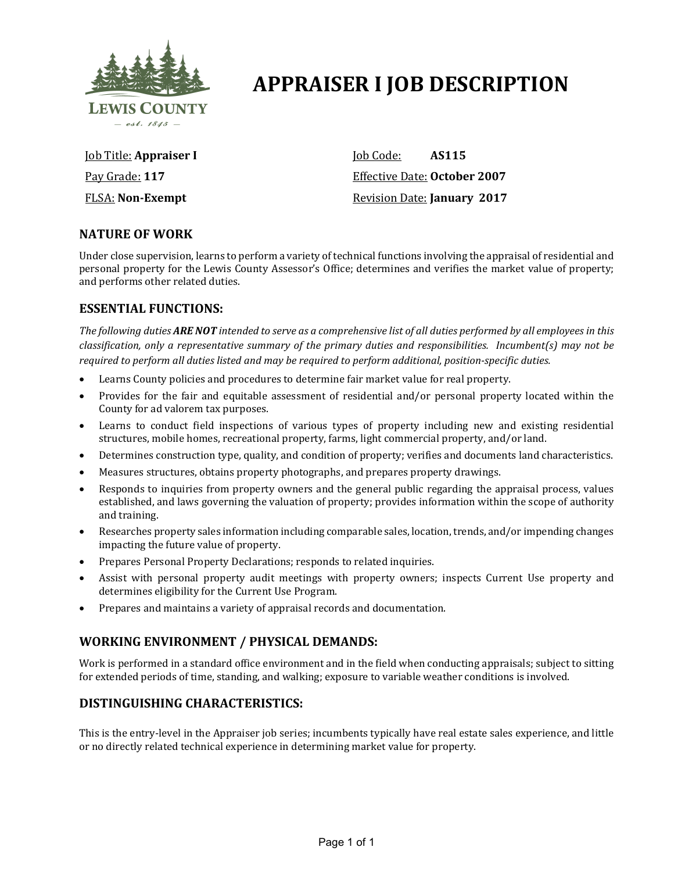

# **APPRAISER I JOB DESCRIPTION**

Job Title: **Appraiser I** Pay Grade: **117** FLSA: **Non-Exempt**

Job Code: **AS115** Effective Date: **October 2007** Revision Date: **January 2017**

# **NATURE OF WORK**

Under close supervision, learns to perform a variety of technical functions involving the appraisal of residential and personal property for the Lewis County Assessor's Office; determines and verifies the market value of property; and performs other related duties.

## **ESSENTIAL FUNCTIONS:**

*The following duties ARE NOT intended to serve as a comprehensive list of all duties performed by all employees in this classification, only a representative summary of the primary duties and responsibilities. Incumbent(s) may not be required to perform all duties listed and may be required to perform additional, position-specific duties.*

- Learns County policies and procedures to determine fair market value for real property.
- Provides for the fair and equitable assessment of residential and/or personal property located within the County for ad valorem tax purposes.
- Learns to conduct field inspections of various types of property including new and existing residential structures, mobile homes, recreational property, farms, light commercial property, and/or land.
- Determines construction type, quality, and condition of property; verifies and documents land characteristics.
- Measures structures, obtains property photographs, and prepares property drawings.
- Responds to inquiries from property owners and the general public regarding the appraisal process, values established, and laws governing the valuation of property; provides information within the scope of authority and training.
- Researches property sales information including comparable sales, location, trends, and/or impending changes impacting the future value of property.
- Prepares Personal Property Declarations; responds to related inquiries.
- Assist with personal property audit meetings with property owners; inspects Current Use property and determines eligibility for the Current Use Program.
- Prepares and maintains a variety of appraisal records and documentation.

# **WORKING ENVIRONMENT / PHYSICAL DEMANDS:**

Work is performed in a standard office environment and in the field when conducting appraisals; subject to sitting for extended periods of time, standing, and walking; exposure to variable weather conditions is involved.

# **DISTINGUISHING CHARACTERISTICS:**

This is the entry-level in the Appraiser job series; incumbents typically have real estate sales experience, and little or no directly related technical experience in determining market value for property.